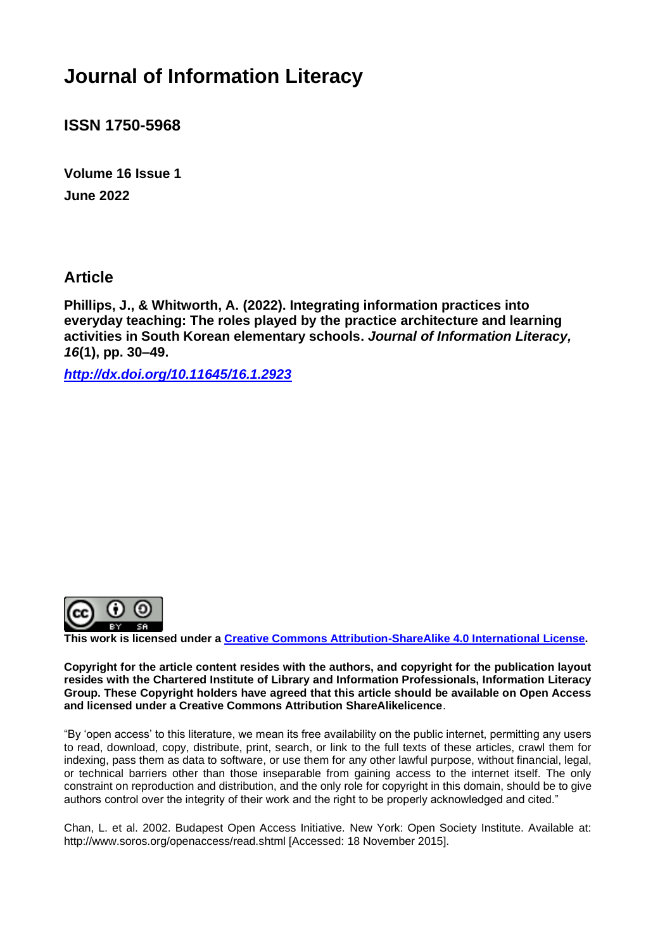# **Journal of Information Literacy**

**ISSN 1750-5968**

**Volume 16 Issue 1 June 2022**

**Article** 

**Phillips, J., & Whitworth, A. (2022). Integrating information practices into everyday teaching: The roles played by the practice architecture and learning activities in South Korean elementary schools.** *Journal of Information Literacy, 16***(1), pp. 30–49.**

*<http://dx.doi.org/10.11645/16.1.2923>*



**This work is licensed under a [Creative Commons Attribution-ShareAlike 4.0 International License.](http://creativecommons.org/licenses/by-sa/4.0/)**

**Copyright for the article content resides with the authors, and copyright for the publication layout resides with the Chartered Institute of Library and Information Professionals, Information Literacy Group. These Copyright holders have agreed that this article should be available on Open Access and licensed under a Creative Commons Attribution ShareAlikelicence**.

"By 'open access' to this literature, we mean its free availability on the public internet, permitting any users to read, download, copy, distribute, print, search, or link to the full texts of these articles, crawl them for indexing, pass them as data to software, or use them for any other lawful purpose, without financial, legal, or technical barriers other than those inseparable from gaining access to the internet itself. The only constraint on reproduction and distribution, and the only role for copyright in this domain, should be to give authors control over the integrity of their work and the right to be properly acknowledged and cited."

Chan, L. et al. 2002. Budapest Open Access Initiative. New York: Open Society Institute. Available at: http://www.soros.org/openaccess/read.shtml [Accessed: 18 November 2015].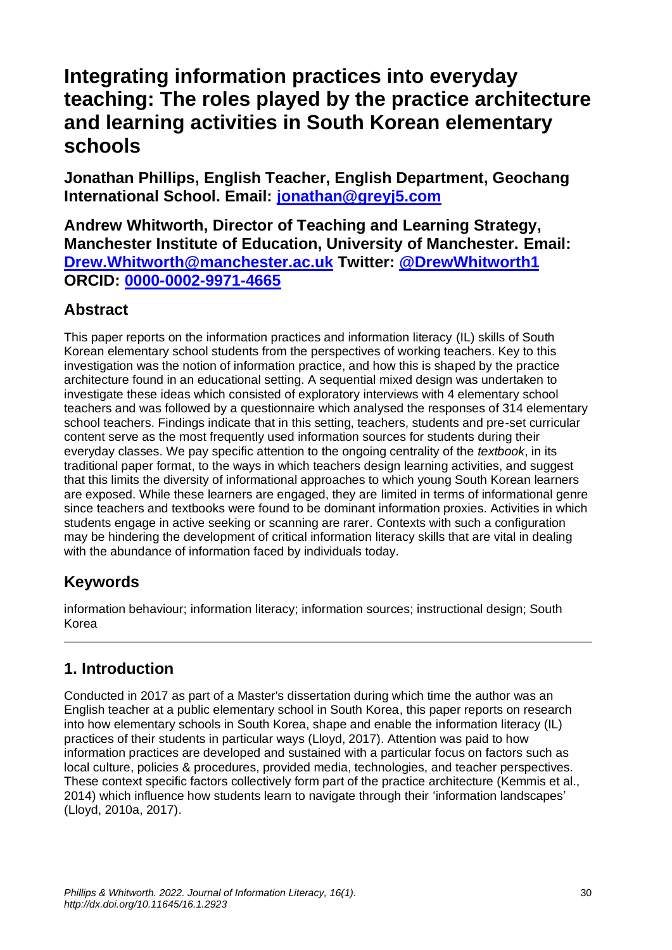# **Integrating information practices into everyday teaching: The roles played by the practice architecture and learning activities in South Korean elementary schools**

**Jonathan Phillips, English Teacher, English Department, Geochang International School. Email: [jonathan@greyj5.com](mailto:jonathan@greyj5.com)**

**Andrew Whitworth, Director of Teaching and Learning Strategy, Manchester Institute of Education, University of Manchester. Email: [Drew.Whitworth@manchester.ac.uk](mailto:Drew.Whitworth@manchester.ac.uk) Twitter: [@DrewWhitworth1](https://twitter.com/DrewWhitworth1) ORCID: [0000-0002-9971-4665](https://orcid.org/0000-0002-9971-4665)**

## **Abstract**

This paper reports on the information practices and information literacy (IL) skills of South Korean elementary school students from the perspectives of working teachers. Key to this investigation was the notion of information practice, and how this is shaped by the practice architecture found in an educational setting. A sequential mixed design was undertaken to investigate these ideas which consisted of exploratory interviews with 4 elementary school teachers and was followed by a questionnaire which analysed the responses of 314 elementary school teachers. Findings indicate that in this setting, teachers, students and pre-set curricular content serve as the most frequently used information sources for students during their everyday classes. We pay specific attention to the ongoing centrality of the *textbook*, in its traditional paper format, to the ways in which teachers design learning activities, and suggest that this limits the diversity of informational approaches to which young South Korean learners are exposed. While these learners are engaged, they are limited in terms of informational genre since teachers and textbooks were found to be dominant information proxies. Activities in which students engage in active seeking or scanning are rarer. Contexts with such a configuration may be hindering the development of critical information literacy skills that are vital in dealing with the abundance of information faced by individuals today.

# **Keywords**

information behaviour; information literacy; information sources; instructional design; South Korea

# **1. Introduction**

Conducted in 2017 as part of a Master's dissertation during which time the author was an English teacher at a public elementary school in South Korea, this paper reports on research into how elementary schools in South Korea, shape and enable the information literacy (IL) practices of their students in particular ways (Lloyd, 2017). Attention was paid to how information practices are developed and sustained with a particular focus on factors such as local culture, policies & procedures, provided media, technologies, and teacher perspectives. These context specific factors collectively form part of the practice architecture (Kemmis et al., 2014) which influence how students learn to navigate through their 'information landscapes' (Lloyd, 2010a, 2017).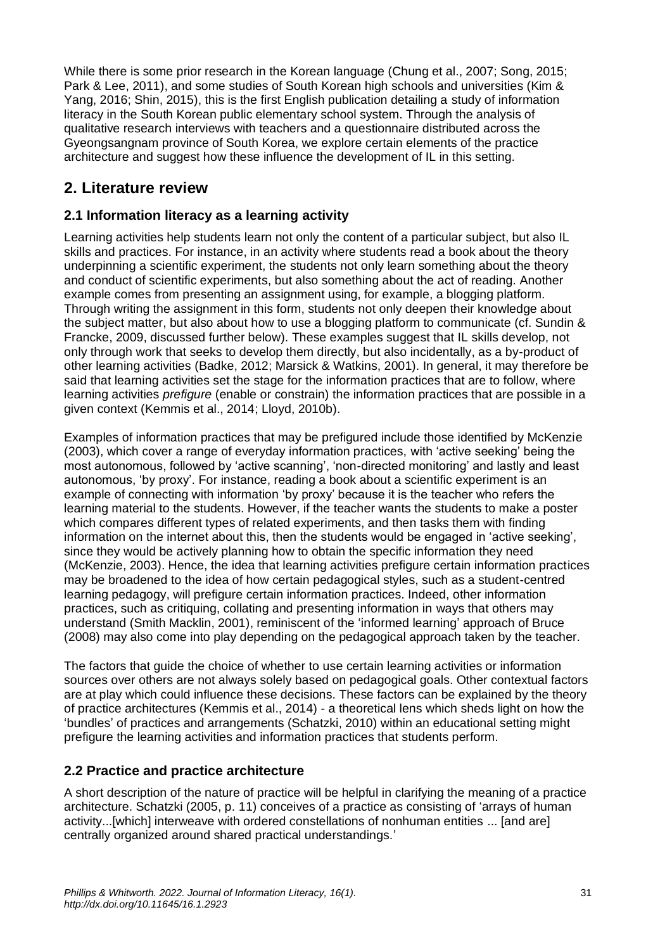While there is some prior research in the Korean language (Chung et al., 2007; Song, 2015; Park & Lee, 2011), and some studies of South Korean high schools and universities (Kim & Yang, 2016; Shin, 2015), this is the first English publication detailing a study of information literacy in the South Korean public elementary school system. Through the analysis of qualitative research interviews with teachers and a questionnaire distributed across the Gyeongsangnam province of South Korea, we explore certain elements of the practice architecture and suggest how these influence the development of IL in this setting.

# **2. Literature review**

### **2.1 Information literacy as a learning activity**

Learning activities help students learn not only the content of a particular subject, but also IL skills and practices. For instance, in an activity where students read a book about the theory underpinning a scientific experiment, the students not only learn something about the theory and conduct of scientific experiments, but also something about the act of reading. Another example comes from presenting an assignment using, for example, a blogging platform. Through writing the assignment in this form, students not only deepen their knowledge about the subject matter, but also about how to use a blogging platform to communicate (cf. Sundin & Francke, 2009, discussed further below). These examples suggest that IL skills develop, not only through work that seeks to develop them directly, but also incidentally, as a by-product of other learning activities (Badke, 2012; Marsick & Watkins, 2001). In general, it may therefore be said that learning activities set the stage for the information practices that are to follow, where learning activities *prefigure* (enable or constrain) the information practices that are possible in a given context (Kemmis et al., 2014; Lloyd, 2010b).

Examples of information practices that may be prefigured include those identified by McKenzie (2003), which cover a range of everyday information practices, with 'active seeking' being the most autonomous, followed by 'active scanning', 'non-directed monitoring' and lastly and least autonomous, 'by proxy'. For instance, reading a book about a scientific experiment is an example of connecting with information 'by proxy' because it is the teacher who refers the learning material to the students. However, if the teacher wants the students to make a poster which compares different types of related experiments, and then tasks them with finding information on the internet about this, then the students would be engaged in 'active seeking', since they would be actively planning how to obtain the specific information they need (McKenzie, 2003). Hence, the idea that learning activities prefigure certain information practices may be broadened to the idea of how certain pedagogical styles, such as a student-centred learning pedagogy, will prefigure certain information practices. Indeed, other information practices, such as critiquing, collating and presenting information in ways that others may understand (Smith Macklin, 2001), reminiscent of the 'informed learning' approach of Bruce (2008) may also come into play depending on the pedagogical approach taken by the teacher.

The factors that guide the choice of whether to use certain learning activities or information sources over others are not always solely based on pedagogical goals. Other contextual factors are at play which could influence these decisions. These factors can be explained by the theory of practice architectures (Kemmis et al., 2014) - a theoretical lens which sheds light on how the 'bundles' of practices and arrangements (Schatzki, 2010) within an educational setting might prefigure the learning activities and information practices that students perform.

### **2.2 Practice and practice architecture**

A short description of the nature of practice will be helpful in clarifying the meaning of a practice architecture. Schatzki (2005, p. 11) conceives of a practice as consisting of 'arrays of human activity...[which] interweave with ordered constellations of nonhuman entities ... [and are] centrally organized around shared practical understandings.'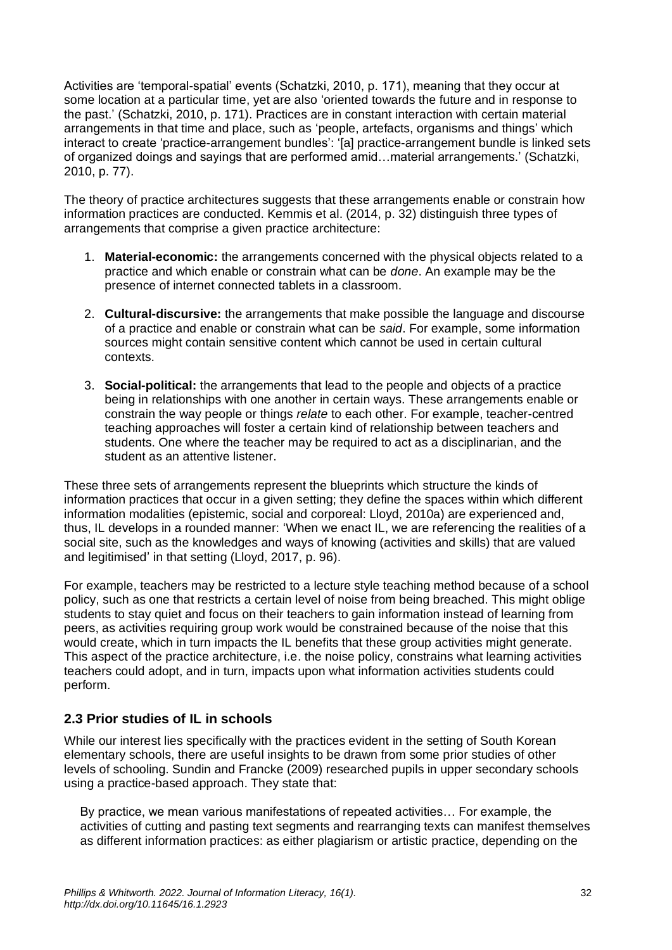Activities are 'temporal-spatial' events (Schatzki, 2010, p. 171), meaning that they occur at some location at a particular time, yet are also 'oriented towards the future and in response to the past.' (Schatzki, 2010, p. 171). Practices are in constant interaction with certain material arrangements in that time and place, such as 'people, artefacts, organisms and things' which interact to create 'practice-arrangement bundles': '[a] practice-arrangement bundle is linked sets of organized doings and sayings that are performed amid…material arrangements.' (Schatzki, 2010, p. 77).

The theory of practice architectures suggests that these arrangements enable or constrain how information practices are conducted. Kemmis et al. (2014, p. 32) distinguish three types of arrangements that comprise a given practice architecture:

- 1. **Material-economic:** the arrangements concerned with the physical objects related to a practice and which enable or constrain what can be *done*. An example may be the presence of internet connected tablets in a classroom.
- 2. **Cultural-discursive:** the arrangements that make possible the language and discourse of a practice and enable or constrain what can be *said*. For example, some information sources might contain sensitive content which cannot be used in certain cultural contexts.
- 3. **Social-political:** the arrangements that lead to the people and objects of a practice being in relationships with one another in certain ways. These arrangements enable or constrain the way people or things *relate* to each other. For example, teacher-centred teaching approaches will foster a certain kind of relationship between teachers and students. One where the teacher may be required to act as a disciplinarian, and the student as an attentive listener.

These three sets of arrangements represent the blueprints which structure the kinds of information practices that occur in a given setting; they define the spaces within which different information modalities (epistemic, social and corporeal: Lloyd, 2010a) are experienced and, thus, IL develops in a rounded manner: 'When we enact IL, we are referencing the realities of a social site, such as the knowledges and ways of knowing (activities and skills) that are valued and legitimised' in that setting (Lloyd, 2017, p. 96).

For example, teachers may be restricted to a lecture style teaching method because of a school policy, such as one that restricts a certain level of noise from being breached. This might oblige students to stay quiet and focus on their teachers to gain information instead of learning from peers, as activities requiring group work would be constrained because of the noise that this would create, which in turn impacts the IL benefits that these group activities might generate. This aspect of the practice architecture, i.e. the noise policy, constrains what learning activities teachers could adopt, and in turn, impacts upon what information activities students could perform.

### **2.3 Prior studies of IL in schools**

While our interest lies specifically with the practices evident in the setting of South Korean elementary schools, there are useful insights to be drawn from some prior studies of other levels of schooling. Sundin and Francke (2009) researched pupils in upper secondary schools using a practice-based approach. They state that:

By practice, we mean various manifestations of repeated activities… For example, the activities of cutting and pasting text segments and rearranging texts can manifest themselves as different information practices: as either plagiarism or artistic practice, depending on the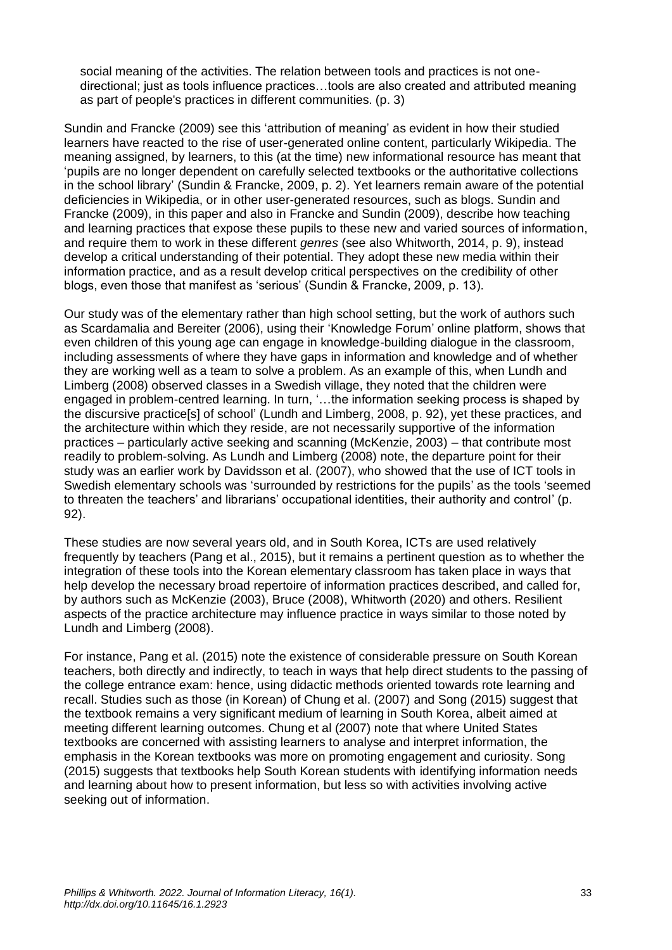social meaning of the activities. The relation between tools and practices is not onedirectional; just as tools influence practices…tools are also created and attributed meaning as part of people's practices in different communities. (p. 3)

Sundin and Francke (2009) see this 'attribution of meaning' as evident in how their studied learners have reacted to the rise of user-generated online content, particularly Wikipedia. The meaning assigned, by learners, to this (at the time) new informational resource has meant that 'pupils are no longer dependent on carefully selected textbooks or the authoritative collections in the school library' (Sundin & Francke, 2009, p. 2). Yet learners remain aware of the potential deficiencies in Wikipedia, or in other user-generated resources, such as blogs. Sundin and Francke (2009), in this paper and also in Francke and Sundin (2009), describe how teaching and learning practices that expose these pupils to these new and varied sources of information, and require them to work in these different *genres* (see also Whitworth, 2014, p. 9), instead develop a critical understanding of their potential. They adopt these new media within their information practice, and as a result develop critical perspectives on the credibility of other blogs, even those that manifest as 'serious' (Sundin & Francke, 2009, p. 13).

Our study was of the elementary rather than high school setting, but the work of authors such as Scardamalia and Bereiter (2006), using their 'Knowledge Forum' online platform, shows that even children of this young age can engage in knowledge-building dialogue in the classroom, including assessments of where they have gaps in information and knowledge and of whether they are working well as a team to solve a problem. As an example of this, when Lundh and Limberg (2008) observed classes in a Swedish village, they noted that the children were engaged in problem-centred learning. In turn, '…the information seeking process is shaped by the discursive practice[s] of school' (Lundh and Limberg, 2008, p. 92), yet these practices, and the architecture within which they reside, are not necessarily supportive of the information practices – particularly active seeking and scanning (McKenzie, 2003) – that contribute most readily to problem-solving. As Lundh and Limberg (2008) note, the departure point for their study was an earlier work by Davidsson et al. (2007), who showed that the use of ICT tools in Swedish elementary schools was 'surrounded by restrictions for the pupils' as the tools 'seemed to threaten the teachers' and librarians' occupational identities, their authority and control' (p. 92).

These studies are now several years old, and in South Korea, ICTs are used relatively frequently by teachers (Pang et al., 2015), but it remains a pertinent question as to whether the integration of these tools into the Korean elementary classroom has taken place in ways that help develop the necessary broad repertoire of information practices described, and called for, by authors such as McKenzie (2003), Bruce (2008), Whitworth (2020) and others. Resilient aspects of the practice architecture may influence practice in ways similar to those noted by Lundh and Limberg (2008).

For instance, Pang et al. (2015) note the existence of considerable pressure on South Korean teachers, both directly and indirectly, to teach in ways that help direct students to the passing of the college entrance exam: hence, using didactic methods oriented towards rote learning and recall. Studies such as those (in Korean) of Chung et al. (2007) and Song (2015) suggest that the textbook remains a very significant medium of learning in South Korea, albeit aimed at meeting different learning outcomes. Chung et al (2007) note that where United States textbooks are concerned with assisting learners to analyse and interpret information, the emphasis in the Korean textbooks was more on promoting engagement and curiosity. Song (2015) suggests that textbooks help South Korean students with identifying information needs and learning about how to present information, but less so with activities involving active seeking out of information.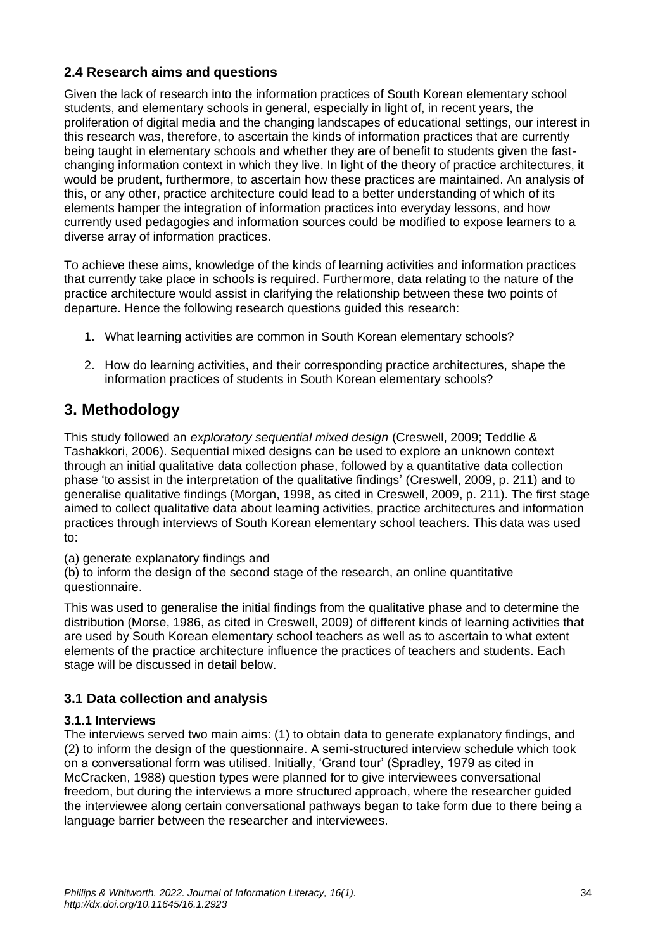### **2.4 Research aims and questions**

Given the lack of research into the information practices of South Korean elementary school students, and elementary schools in general, especially in light of, in recent years, the proliferation of digital media and the changing landscapes of educational settings, our interest in this research was, therefore, to ascertain the kinds of information practices that are currently being taught in elementary schools and whether they are of benefit to students given the fastchanging information context in which they live. In light of the theory of practice architectures, it would be prudent, furthermore, to ascertain how these practices are maintained. An analysis of this, or any other, practice architecture could lead to a better understanding of which of its elements hamper the integration of information practices into everyday lessons, and how currently used pedagogies and information sources could be modified to expose learners to a diverse array of information practices.

To achieve these aims, knowledge of the kinds of learning activities and information practices that currently take place in schools is required. Furthermore, data relating to the nature of the practice architecture would assist in clarifying the relationship between these two points of departure. Hence the following research questions guided this research:

- 1. What learning activities are common in South Korean elementary schools?
- 2. How do learning activities, and their corresponding practice architectures, shape the information practices of students in South Korean elementary schools?

### **3. Methodology**

This study followed an *exploratory sequential mixed design* (Creswell, 2009; Teddlie & Tashakkori, 2006). Sequential mixed designs can be used to explore an unknown context through an initial qualitative data collection phase, followed by a quantitative data collection phase 'to assist in the interpretation of the qualitative findings' (Creswell, 2009, p. 211) and to generalise qualitative findings (Morgan, 1998, as cited in Creswell, 2009, p. 211). The first stage aimed to collect qualitative data about learning activities, practice architectures and information practices through interviews of South Korean elementary school teachers. This data was used to:

(a) generate explanatory findings and

(b) to inform the design of the second stage of the research, an online quantitative questionnaire.

This was used to generalise the initial findings from the qualitative phase and to determine the distribution (Morse, 1986, as cited in Creswell, 2009) of different kinds of learning activities that are used by South Korean elementary school teachers as well as to ascertain to what extent elements of the practice architecture influence the practices of teachers and students. Each stage will be discussed in detail below.

### **3.1 Data collection and analysis**

### **3.1.1 Interviews**

The interviews served two main aims: (1) to obtain data to generate explanatory findings, and (2) to inform the design of the questionnaire. A semi-structured interview schedule which took on a conversational form was utilised. Initially, 'Grand tour' (Spradley, 1979 as cited in McCracken, 1988) question types were planned for to give interviewees conversational freedom, but during the interviews a more structured approach, where the researcher guided the interviewee along certain conversational pathways began to take form due to there being a language barrier between the researcher and interviewees.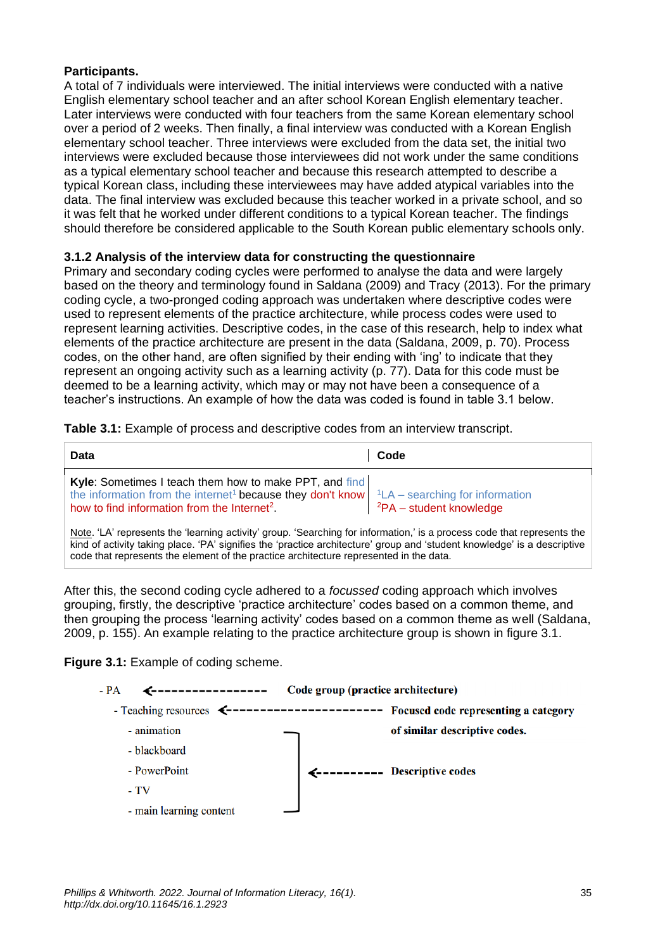#### **Participants.**

A total of 7 individuals were interviewed. The initial interviews were conducted with a native English elementary school teacher and an after school Korean English elementary teacher. Later interviews were conducted with four teachers from the same Korean elementary school over a period of 2 weeks. Then finally, a final interview was conducted with a Korean English elementary school teacher. Three interviews were excluded from the data set, the initial two interviews were excluded because those interviewees did not work under the same conditions as a typical elementary school teacher and because this research attempted to describe a typical Korean class, including these interviewees may have added atypical variables into the data. The final interview was excluded because this teacher worked in a private school, and so it was felt that he worked under different conditions to a typical Korean teacher. The findings should therefore be considered applicable to the South Korean public elementary schools only.

### **3.1.2 Analysis of the interview data for constructing the questionnaire**

Primary and secondary coding cycles were performed to analyse the data and were largely based on the theory and terminology found in Saldana (2009) and Tracy (2013). For the primary coding cycle, a two-pronged coding approach was undertaken where descriptive codes were used to represent elements of the practice architecture, while process codes were used to represent learning activities. Descriptive codes, in the case of this research, help to index what elements of the practice architecture are present in the data (Saldana, 2009, p. 70). Process codes, on the other hand, are often signified by their ending with 'ing' to indicate that they represent an ongoing activity such as a learning activity (p. 77). Data for this code must be deemed to be a learning activity, which may or may not have been a consequence of a teacher's instructions. An example of how the data was coded is found in table 3.1 below.

**Table 3.1:** Example of process and descriptive codes from an interview transcript.

| <b>Data</b>                                                                                                                                                                                                                                      | Code                           |
|--------------------------------------------------------------------------------------------------------------------------------------------------------------------------------------------------------------------------------------------------|--------------------------------|
| Kyle: Sometimes I teach them how to make PPT, and find<br>the information from the internet <sup>1</sup> because they don't know $\vert$ <sup>1</sup> LA – searching for information<br>how to find information from the Internet <sup>2</sup> . | ${}^{2}PA$ – student knowledge |
| Note, 'LA' represents the 'learning activity' group. 'Searching for information,' is a process code that represents the                                                                                                                          |                                |

Note. 'LA' represents the 'learning activity' group. 'Searching for information,' is a process code that represents the kind of activity taking place. 'PA' signifies the 'practice architecture' group and 'student knowledge' is a descriptive code that represents the element of the practice architecture represented in the data.

After this, the second coding cycle adhered to a *focussed* coding approach which involves grouping, firstly, the descriptive 'practice architecture' codes based on a common theme, and then grouping the process 'learning activity' codes based on a common theme as well (Saldana, 2009, p. 155). An example relating to the practice architecture group is shown in figure 3.1.

**Figure 3.1:** Example of coding scheme.

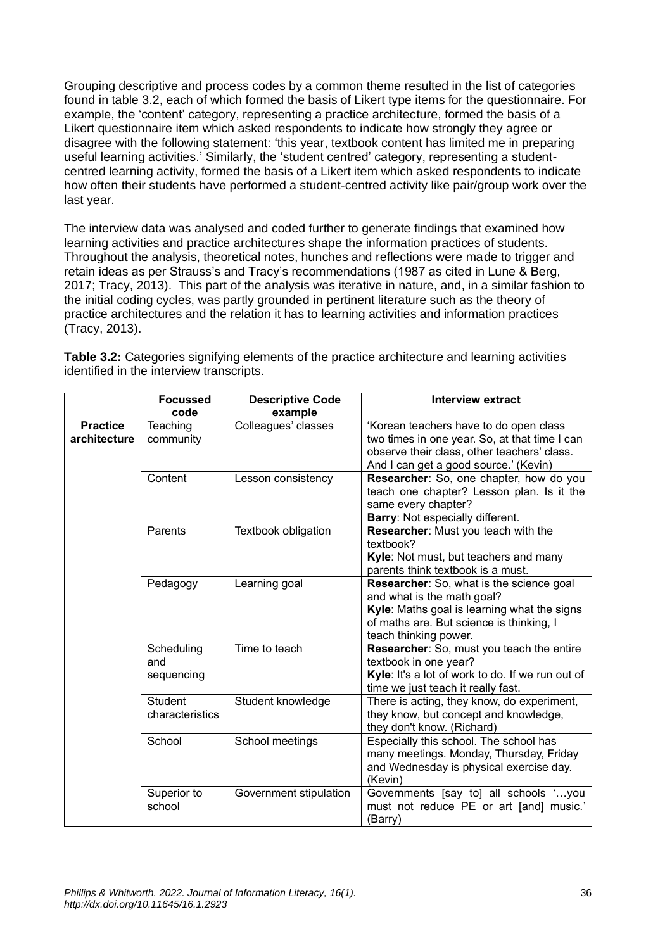Grouping descriptive and process codes by a common theme resulted in the list of categories found in table 3.2, each of which formed the basis of Likert type items for the questionnaire. For example, the 'content' category, representing a practice architecture, formed the basis of a Likert questionnaire item which asked respondents to indicate how strongly they agree or disagree with the following statement: 'this year, textbook content has limited me in preparing useful learning activities.' Similarly, the 'student centred' category, representing a studentcentred learning activity, formed the basis of a Likert item which asked respondents to indicate how often their students have performed a student-centred activity like pair/group work over the last year.

The interview data was analysed and coded further to generate findings that examined how learning activities and practice architectures shape the information practices of students. Throughout the analysis, theoretical notes, hunches and reflections were made to trigger and retain ideas as per Strauss's and Tracy's recommendations (1987 as cited in Lune & Berg, 2017; Tracy, 2013). This part of the analysis was iterative in nature, and, in a similar fashion to the initial coding cycles, was partly grounded in pertinent literature such as the theory of practice architectures and the relation it has to learning activities and information practices (Tracy, 2013).

|                 | <b>Focussed</b> | <b>Descriptive Code</b>    | <b>Interview extract</b>                         |
|-----------------|-----------------|----------------------------|--------------------------------------------------|
|                 | code            | example                    |                                                  |
| <b>Practice</b> | Teaching        | Colleagues' classes        | 'Korean teachers have to do open class           |
| architecture    | community       |                            | two times in one year. So, at that time I can    |
|                 |                 |                            | observe their class, other teachers' class.      |
|                 |                 |                            | And I can get a good source.' (Kevin)            |
|                 | Content         | Lesson consistency         | Researcher: So, one chapter, how do you          |
|                 |                 |                            | teach one chapter? Lesson plan. Is it the        |
|                 |                 |                            | same every chapter?                              |
|                 |                 |                            | Barry: Not especially different.                 |
|                 | Parents         | <b>Textbook obligation</b> | Researcher: Must you teach with the              |
|                 |                 |                            | textbook?                                        |
|                 |                 |                            | Kyle: Not must, but teachers and many            |
|                 |                 |                            | parents think textbook is a must.                |
|                 | Pedagogy        | Learning goal              | Researcher: So, what is the science goal         |
|                 |                 |                            | and what is the math goal?                       |
|                 |                 |                            | Kyle: Maths goal is learning what the signs      |
|                 |                 |                            | of maths are. But science is thinking, I         |
|                 |                 |                            | teach thinking power.                            |
|                 | Scheduling      | Time to teach              | Researcher: So, must you teach the entire        |
|                 | and             |                            | textbook in one year?                            |
|                 | sequencing      |                            | Kyle: It's a lot of work to do. If we run out of |
|                 |                 |                            | time we just teach it really fast.               |
|                 | <b>Student</b>  | Student knowledge          | There is acting, they know, do experiment,       |
|                 | characteristics |                            | they know, but concept and knowledge,            |
|                 |                 |                            | they don't know. (Richard)                       |
|                 | School          | School meetings            | Especially this school. The school has           |
|                 |                 |                            | many meetings. Monday, Thursday, Friday          |
|                 |                 |                            | and Wednesday is physical exercise day.          |
|                 |                 |                            | (Kevin)                                          |
|                 | Superior to     | Government stipulation     | Governments [say to] all schools 'you            |
|                 | school          |                            | must not reduce PE or art [and] music.'          |
|                 |                 |                            | (Barry)                                          |

**Table 3.2:** Categories signifying elements of the practice architecture and learning activities identified in the interview transcripts.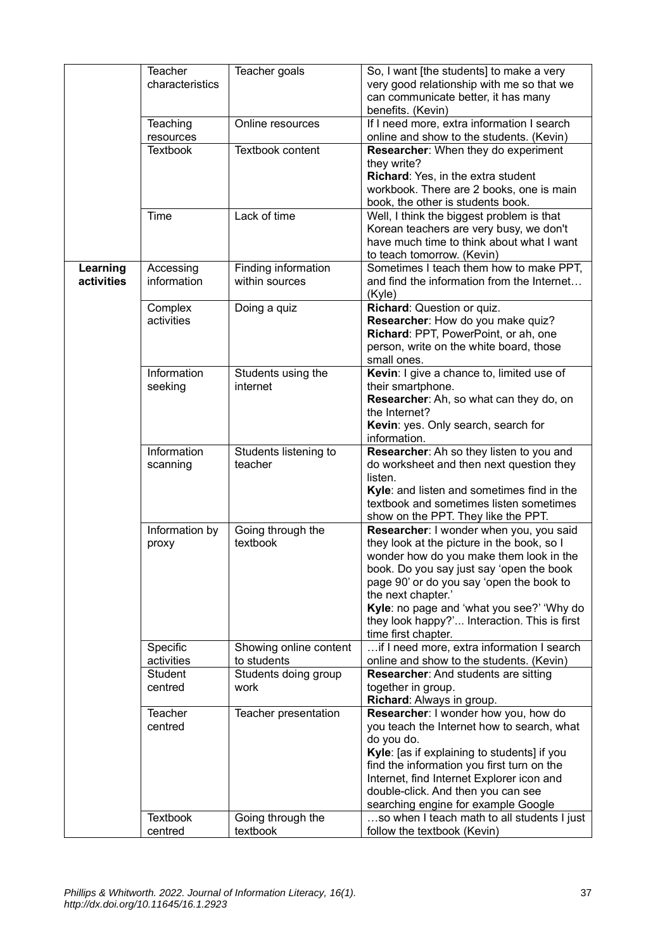|            | Teacher         | Teacher goals          | So, I want [the students] to make a very     |
|------------|-----------------|------------------------|----------------------------------------------|
|            | characteristics |                        | very good relationship with me so that we    |
|            |                 |                        | can communicate better, it has many          |
|            |                 |                        | benefits. (Kevin)                            |
|            | Teaching        | Online resources       | If I need more, extra information I search   |
|            | resources       |                        | online and show to the students. (Kevin)     |
|            | <b>Textbook</b> | Textbook content       | Researcher: When they do experiment          |
|            |                 |                        |                                              |
|            |                 |                        | they write?                                  |
|            |                 |                        | Richard: Yes, in the extra student           |
|            |                 |                        | workbook. There are 2 books, one is main     |
|            |                 |                        | book, the other is students book.            |
|            | Time            | Lack of time           | Well, I think the biggest problem is that    |
|            |                 |                        | Korean teachers are very busy, we don't      |
|            |                 |                        | have much time to think about what I want    |
|            |                 |                        | to teach tomorrow. (Kevin)                   |
| Learning   | Accessing       | Finding information    | Sometimes I teach them how to make PPT,      |
| activities | information     | within sources         | and find the information from the Internet   |
|            |                 |                        | (Kyle)                                       |
|            |                 |                        |                                              |
|            | Complex         | Doing a quiz           | Richard: Question or quiz.                   |
|            | activities      |                        | Researcher: How do you make quiz?            |
|            |                 |                        | Richard: PPT, PowerPoint, or ah, one         |
|            |                 |                        | person, write on the white board, those      |
|            |                 |                        | small ones.                                  |
|            | Information     | Students using the     | Kevin: I give a chance to, limited use of    |
|            | seeking         | internet               | their smartphone.                            |
|            |                 |                        | Researcher: Ah, so what can they do, on      |
|            |                 |                        | the Internet?                                |
|            |                 |                        | Kevin: yes. Only search, search for          |
|            |                 |                        | information.                                 |
|            | Information     | Students listening to  | Researcher: Ah so they listen to you and     |
|            | scanning        | teacher                | do worksheet and then next question they     |
|            |                 |                        | listen.                                      |
|            |                 |                        |                                              |
|            |                 |                        | Kyle: and listen and sometimes find in the   |
|            |                 |                        | textbook and sometimes listen sometimes      |
|            |                 |                        | show on the PPT. They like the PPT.          |
|            | Information by  | Going through the      | Researcher: I wonder when you, you said      |
|            | proxy           | textbook               | they look at the picture in the book, so I   |
|            |                 |                        | wonder how do you make them look in the      |
|            |                 |                        | book. Do you say just say 'open the book     |
|            |                 |                        | page 90' or do you say 'open the book to     |
|            |                 |                        | the next chapter.'                           |
|            |                 |                        | Kyle: no page and 'what you see?' 'Why do    |
|            |                 |                        | they look happy?' Interaction. This is first |
|            |                 |                        | time first chapter.                          |
|            | Specific        | Showing online content | if I need more, extra information I search   |
|            |                 |                        |                                              |
|            | activities      | to students            | online and show to the students. (Kevin)     |
|            | Student         | Students doing group   | Researcher: And students are sitting         |
|            | centred         | work                   | together in group.                           |
|            |                 |                        | Richard: Always in group.                    |
|            | Teacher         | Teacher presentation   | Researcher: I wonder how you, how do         |
|            | centred         |                        | you teach the Internet how to search, what   |
|            |                 |                        | do you do.                                   |
|            |                 |                        | Kyle: [as if explaining to students] if you  |
|            |                 |                        | find the information you first turn on the   |
|            |                 |                        | Internet, find Internet Explorer icon and    |
|            |                 |                        | double-click. And then you can see           |
|            |                 |                        |                                              |
|            |                 |                        | searching engine for example Google          |
|            | <b>Textbook</b> | Going through the      | so when I teach math to all students I just  |
|            | centred         | textbook               | follow the textbook (Kevin)                  |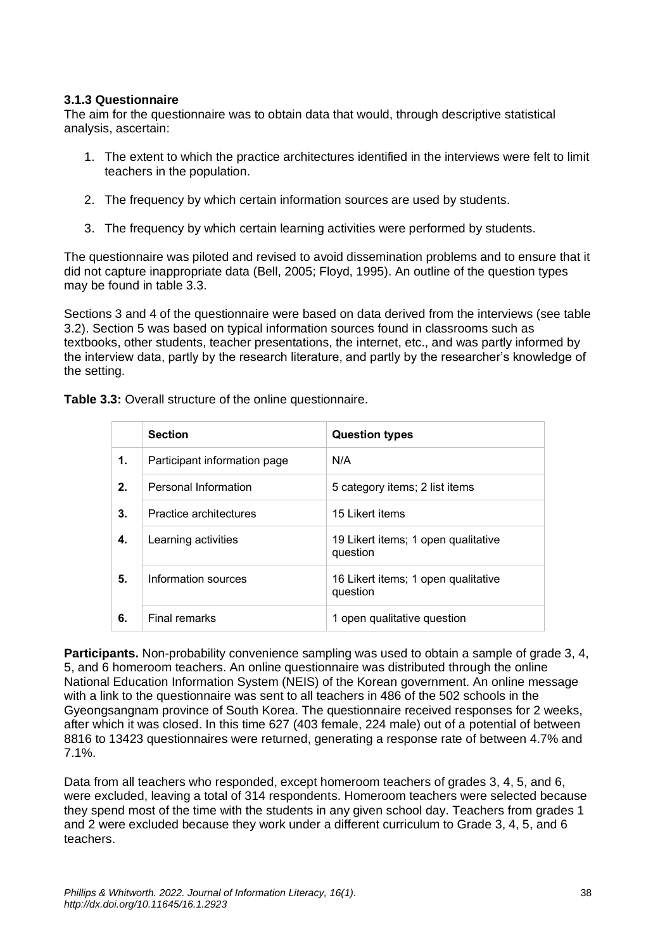#### **3.1.3 Questionnaire**

The aim for the questionnaire was to obtain data that would, through descriptive statistical analysis, ascertain:

- 1. The extent to which the practice architectures identified in the interviews were felt to limit teachers in the population.
- 2. The frequency by which certain information sources are used by students.
- 3. The frequency by which certain learning activities were performed by students.

The questionnaire was piloted and revised to avoid dissemination problems and to ensure that it did not capture inappropriate data (Bell, 2005; Floyd, 1995). An outline of the question types may be found in table 3.3.

Sections 3 and 4 of the questionnaire were based on data derived from the interviews (see table 3.2). Section 5 was based on typical information sources found in classrooms such as textbooks, other students, teacher presentations, the internet, etc., and was partly informed by the interview data, partly by the research literature, and partly by the researcher's knowledge of the setting.

|    | <b>Section</b>               | <b>Question types</b>                           |
|----|------------------------------|-------------------------------------------------|
| 1. | Participant information page | N/A                                             |
| 2. | Personal Information         | 5 category items; 2 list items                  |
| 3. | Practice architectures       | 15 Likert items                                 |
| 4. | Learning activities          | 19 Likert items; 1 open qualitative<br>question |
| 5. | Information sources          | 16 Likert items; 1 open qualitative<br>question |
| 6. | <b>Final remarks</b>         | 1 open qualitative question                     |

**Participants.** Non-probability convenience sampling was used to obtain a sample of grade 3, 4, 5, and 6 homeroom teachers. An online questionnaire was distributed through the online National Education Information System (NEIS) of the Korean government. An online message with a link to the questionnaire was sent to all teachers in 486 of the 502 schools in the Gyeongsangnam province of South Korea. The questionnaire received responses for 2 weeks, after which it was closed. In this time 627 (403 female, 224 male) out of a potential of between 8816 to 13423 questionnaires were returned, generating a response rate of between 4.7% and 7.1%.

Data from all teachers who responded, except homeroom teachers of grades 3, 4, 5, and 6, were excluded, leaving a total of 314 respondents. Homeroom teachers were selected because they spend most of the time with the students in any given school day. Teachers from grades 1 and 2 were excluded because they work under a different curriculum to Grade 3, 4, 5, and 6 teachers.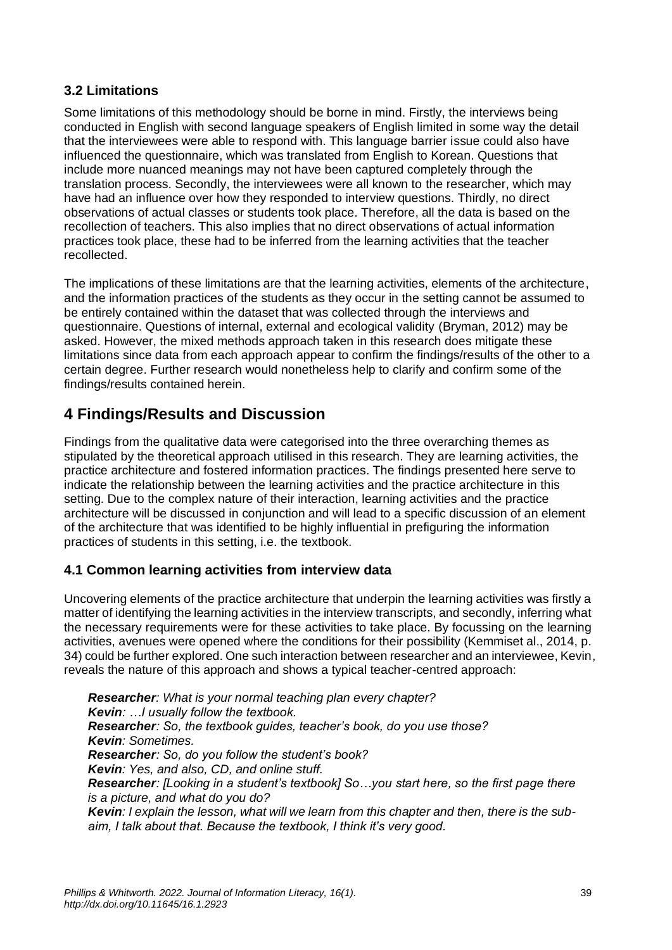### **3.2 Limitations**

Some limitations of this methodology should be borne in mind. Firstly, the interviews being conducted in English with second language speakers of English limited in some way the detail that the interviewees were able to respond with. This language barrier issue could also have influenced the questionnaire, which was translated from English to Korean. Questions that include more nuanced meanings may not have been captured completely through the translation process. Secondly, the interviewees were all known to the researcher, which may have had an influence over how they responded to interview questions. Thirdly, no direct observations of actual classes or students took place. Therefore, all the data is based on the recollection of teachers. This also implies that no direct observations of actual information practices took place, these had to be inferred from the learning activities that the teacher recollected.

The implications of these limitations are that the learning activities, elements of the architecture, and the information practices of the students as they occur in the setting cannot be assumed to be entirely contained within the dataset that was collected through the interviews and questionnaire. Questions of internal, external and ecological validity (Bryman, 2012) may be asked. However, the mixed methods approach taken in this research does mitigate these limitations since data from each approach appear to confirm the findings/results of the other to a certain degree. Further research would nonetheless help to clarify and confirm some of the findings/results contained herein.

### **4 Findings/Results and Discussion**

Findings from the qualitative data were categorised into the three overarching themes as stipulated by the theoretical approach utilised in this research. They are learning activities, the practice architecture and fostered information practices. The findings presented here serve to indicate the relationship between the learning activities and the practice architecture in this setting. Due to the complex nature of their interaction, learning activities and the practice architecture will be discussed in conjunction and will lead to a specific discussion of an element of the architecture that was identified to be highly influential in prefiguring the information practices of students in this setting, i.e. the textbook.

### **4.1 Common learning activities from interview data**

Uncovering elements of the practice architecture that underpin the learning activities was firstly a matter of identifying the learning activities in the interview transcripts, and secondly, inferring what the necessary requirements were for these activities to take place. By focussing on the learning activities, avenues were opened where the conditions for their possibility (Kemmiset al., 2014, p. 34) could be further explored. One such interaction between researcher and an interviewee, Kevin, reveals the nature of this approach and shows a typical teacher-centred approach:

*Researcher: What is your normal teaching plan every chapter? Kevin: …I usually follow the textbook. Researcher: So, the textbook guides, teacher's book, do you use those? Kevin: Sometimes. Researcher: So, do you follow the student's book? Kevin: Yes, and also, CD, and online stuff. Researcher: [Looking in a student's textbook] So…you start here, so the first page there is a picture, and what do you do? Kevin: I explain the lesson, what will we learn from this chapter and then, there is the subaim, I talk about that. Because the textbook, I think it's very good.*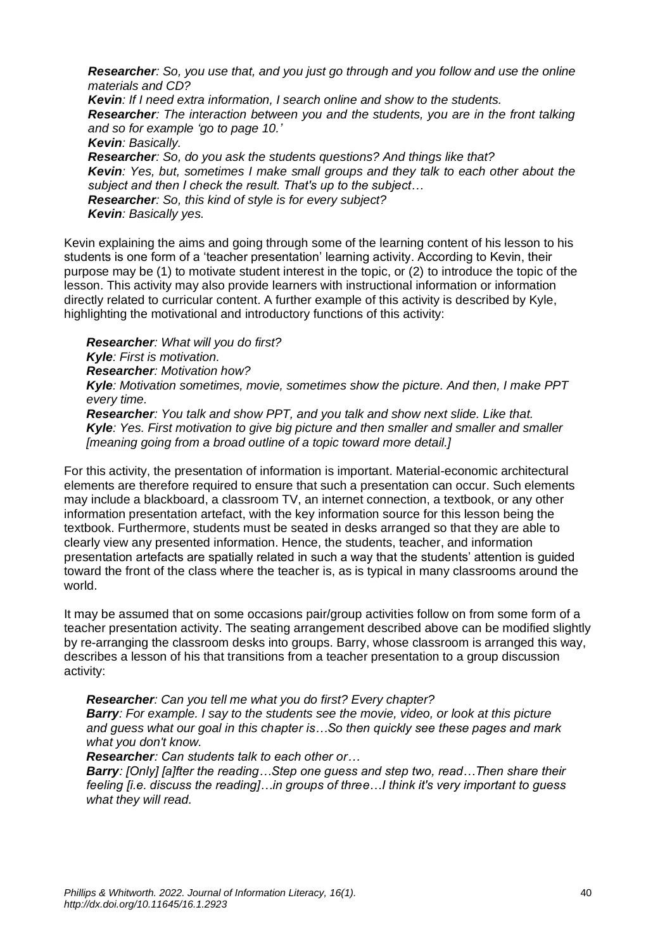*Researcher: So, you use that, and you just go through and you follow and use the online materials and CD? Kevin: If I need extra information, I search online and show to the students. Researcher: The interaction between you and the students, you are in the front talking and so for example 'go to page 10.' Kevin: Basically. Researcher: So, do you ask the students questions? And things like that? Kevin: Yes, but, sometimes I make small groups and they talk to each other about the subject and then I check the result. That's up to the subject… Researcher: So, this kind of style is for every subject? Kevin: Basically yes.*

Kevin explaining the aims and going through some of the learning content of his lesson to his students is one form of a 'teacher presentation' learning activity. According to Kevin, their purpose may be (1) to motivate student interest in the topic, or (2) to introduce the topic of the lesson. This activity may also provide learners with instructional information or information directly related to curricular content. A further example of this activity is described by Kyle, highlighting the motivational and introductory functions of this activity:

*Researcher: What will you do first? Kyle: First is motivation. Researcher: Motivation how? Kyle: Motivation sometimes, movie, sometimes show the picture. And then, I make PPT every time. Researcher: You talk and show PPT, and you talk and show next slide. Like that. Kyle: Yes. First motivation to give big picture and then smaller and smaller and smaller [meaning going from a broad outline of a topic toward more detail.]*

For this activity, the presentation of information is important. Material-economic architectural elements are therefore required to ensure that such a presentation can occur. Such elements may include a blackboard, a classroom TV, an internet connection, a textbook, or any other information presentation artefact, with the key information source for this lesson being the textbook. Furthermore, students must be seated in desks arranged so that they are able to clearly view any presented information. Hence, the students, teacher, and information presentation artefacts are spatially related in such a way that the students' attention is guided toward the front of the class where the teacher is, as is typical in many classrooms around the world.

It may be assumed that on some occasions pair/group activities follow on from some form of a teacher presentation activity. The seating arrangement described above can be modified slightly by re-arranging the classroom desks into groups. Barry, whose classroom is arranged this way, describes a lesson of his that transitions from a teacher presentation to a group discussion activity:

*Researcher: Can you tell me what you do first? Every chapter? Barry: For example. I say to the students see the movie, video, or look at this picture and guess what our goal in this chapter is…So then quickly see these pages and mark what you don't know.*

*Researcher: Can students talk to each other or…*

*Barry: [Only] [a]fter the reading…Step one guess and step two, read…Then share their feeling [i.e. discuss the reading]…in groups of three…I think it's very important to guess what they will read.*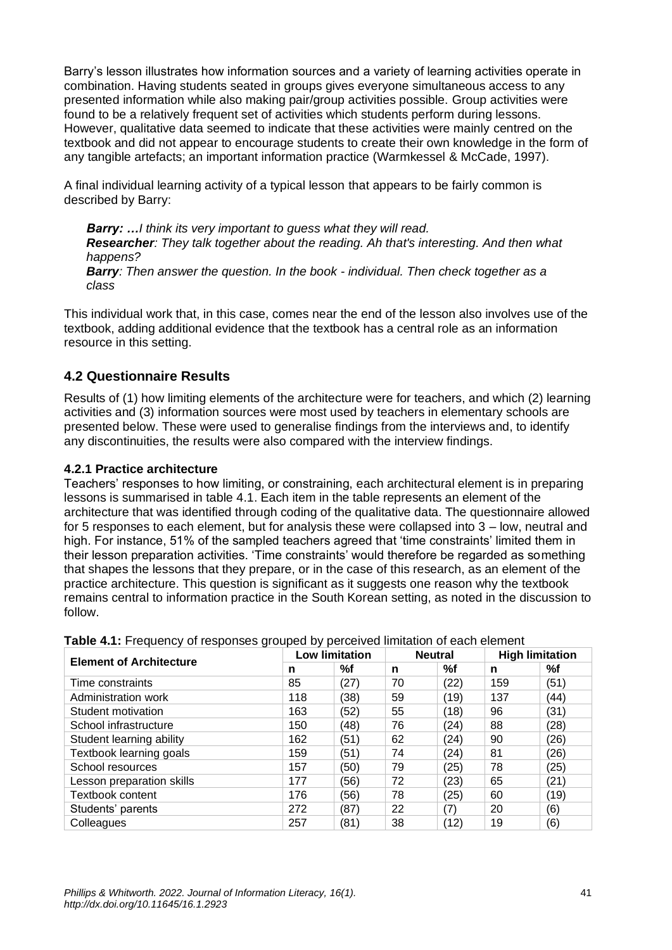Barry's lesson illustrates how information sources and a variety of learning activities operate in combination. Having students seated in groups gives everyone simultaneous access to any presented information while also making pair/group activities possible. Group activities were found to be a relatively frequent set of activities which students perform during lessons. However, qualitative data seemed to indicate that these activities were mainly centred on the textbook and did not appear to encourage students to create their own knowledge in the form of any tangible artefacts; an important information practice (Warmkessel & McCade, 1997).

A final individual learning activity of a typical lesson that appears to be fairly common is described by Barry:

*Barry: …I think its very important to guess what they will read. Researcher: They talk together about the reading. Ah that's interesting. And then what happens? Barry: Then answer the question. In the book - individual. Then check together as a class*

This individual work that, in this case, comes near the end of the lesson also involves use of the textbook, adding additional evidence that the textbook has a central role as an information resource in this setting.

### **4.2 Questionnaire Results**

Results of (1) how limiting elements of the architecture were for teachers, and which (2) learning activities and (3) information sources were most used by teachers in elementary schools are presented below. These were used to generalise findings from the interviews and, to identify any discontinuities, the results were also compared with the interview findings.

### **4.2.1 Practice architecture**

Teachers' responses to how limiting, or constraining, each architectural element is in preparing lessons is summarised in table 4.1. Each item in the table represents an element of the architecture that was identified through coding of the qualitative data. The questionnaire allowed for 5 responses to each element, but for analysis these were collapsed into 3 – low, neutral and high. For instance, 51% of the sampled teachers agreed that 'time constraints' limited them in their lesson preparation activities. 'Time constraints' would therefore be regarded as something that shapes the lessons that they prepare, or in the case of this research, as an element of the practice architecture. This question is significant as it suggests one reason why the textbook remains central to information practice in the South Korean setting, as noted in the discussion to follow.

|                                | <b>Low limitation</b> |      | <b>Neutral</b> |      | <b>High limitation</b> |      |
|--------------------------------|-----------------------|------|----------------|------|------------------------|------|
| <b>Element of Architecture</b> | n                     | %f   | n              | %f   | n                      | %f   |
| Time constraints               | 85                    | (27) | 70             | (22) | 159                    | (51) |
| Administration work            | 118                   | (38) | 59             | (19) | 137                    | (44) |
| Student motivation             | 163                   | (52) | 55             | (18) | 96                     | (31) |
| School infrastructure          | 150                   | (48) | 76             | (24) | 88                     | (28) |
| Student learning ability       | 162                   | (51) | 62             | (24) | 90                     | (26) |
| Textbook learning goals        | 159                   | (51) | 74             | (24) | 81                     | (26) |
| School resources               | 157                   | (50) | 79             | (25) | 78                     | (25) |
| Lesson preparation skills      | 177                   | (56) | 72             | (23) | 65                     | (21) |
| <b>Textbook content</b>        | 176                   | (56) | 78             | (25) | 60                     | (19) |
| Students' parents              | 272                   | (87) | 22             | (7)  | 20                     | (6)  |
| Colleagues                     | 257                   | (81) | 38             | (12) | 19                     | (6)  |

**Table 4.1:** Frequency of responses grouped by perceived limitation of each element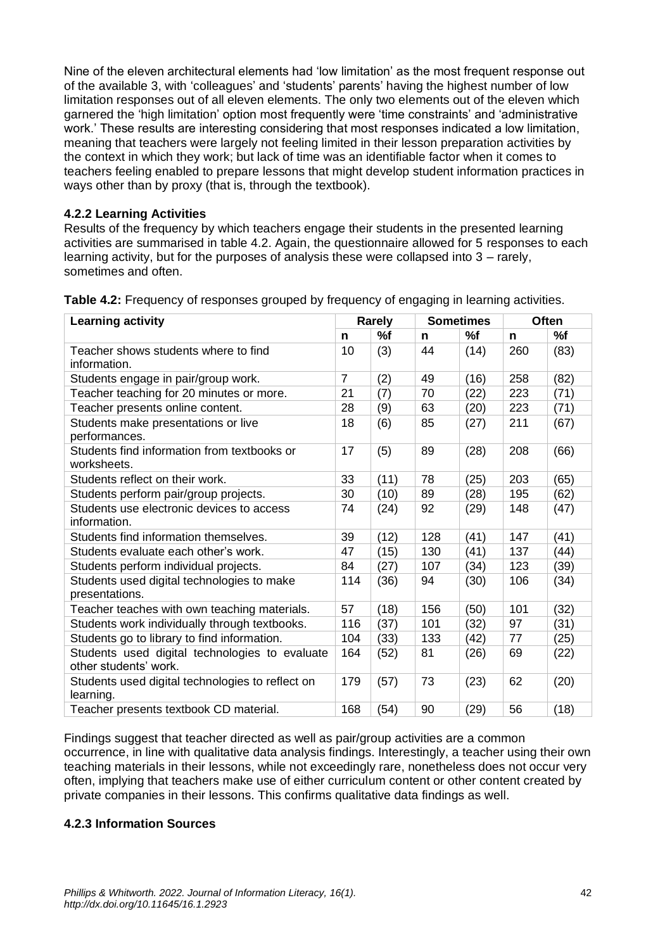Nine of the eleven architectural elements had 'low limitation' as the most frequent response out of the available 3, with 'colleagues' and 'students' parents' having the highest number of low limitation responses out of all eleven elements. The only two elements out of the eleven which garnered the 'high limitation' option most frequently were 'time constraints' and 'administrative work.' These results are interesting considering that most responses indicated a low limitation, meaning that teachers were largely not feeling limited in their lesson preparation activities by the context in which they work; but lack of time was an identifiable factor when it comes to teachers feeling enabled to prepare lessons that might develop student information practices in ways other than by proxy (that is, through the textbook).

### **4.2.2 Learning Activities**

Results of the frequency by which teachers engage their students in the presented learning activities are summarised in table 4.2. Again, the questionnaire allowed for 5 responses to each learning activity, but for the purposes of analysis these were collapsed into 3 – rarely, sometimes and often.

| <b>Learning activity</b>                                                | <b>Rarely</b>  |      | <b>Sometimes</b> |      |     | <b>Often</b> |  |
|-------------------------------------------------------------------------|----------------|------|------------------|------|-----|--------------|--|
|                                                                         | n              | %f   | n                | %f   | n   | %f           |  |
| Teacher shows students where to find<br>information.                    | 10             | (3)  | 44               | (14) | 260 | (83)         |  |
| Students engage in pair/group work.                                     | $\overline{7}$ | (2)  | 49               | (16) | 258 | (82)         |  |
| Teacher teaching for 20 minutes or more.                                | 21             | (7)  | 70               | (22) | 223 | (71)         |  |
| Teacher presents online content.                                        | 28             | (9)  | 63               | (20) | 223 | (71)         |  |
| Students make presentations or live<br>performances.                    | 18             | (6)  | 85               | (27) | 211 | (67)         |  |
| Students find information from textbooks or<br>worksheets.              | 17             | (5)  | 89               | (28) | 208 | (66)         |  |
| Students reflect on their work.                                         | 33             | (11) | 78               | (25) | 203 | (65)         |  |
| Students perform pair/group projects.                                   | 30             | (10) | 89               | (28) | 195 | (62)         |  |
| Students use electronic devices to access<br>information.               | 74             | (24) | 92               | (29) | 148 | (47)         |  |
| Students find information themselves.                                   | 39             | (12) | 128              | (41) | 147 | (41)         |  |
| Students evaluate each other's work.                                    | 47             | (15) | 130              | (41) | 137 | (44)         |  |
| Students perform individual projects.                                   | 84             | (27) | 107              | (34) | 123 | (39)         |  |
| Students used digital technologies to make<br>presentations.            | 114            | (36) | 94               | (30) | 106 | (34)         |  |
| Teacher teaches with own teaching materials.                            | 57             | (18) | 156              | (50) | 101 | (32)         |  |
| Students work individually through textbooks.                           | 116            | (37) | 101              | (32) | 97  | (31)         |  |
| Students go to library to find information.                             | 104            | (33) | 133              | (42) | 77  | (25)         |  |
| Students used digital technologies to evaluate<br>other students' work. | 164            | (52) | 81               | (26) | 69  | (22)         |  |
| Students used digital technologies to reflect on<br>learning.           | 179            | (57) | 73               | (23) | 62  | (20)         |  |
| Teacher presents textbook CD material.                                  | 168            | (54) | 90               | (29) | 56  | (18)         |  |

**Table 4.2:** Frequency of responses grouped by frequency of engaging in learning activities.

Findings suggest that teacher directed as well as pair/group activities are a common occurrence, in line with qualitative data analysis findings. Interestingly, a teacher using their own teaching materials in their lessons, while not exceedingly rare, nonetheless does not occur very often, implying that teachers make use of either curriculum content or other content created by private companies in their lessons. This confirms qualitative data findings as well.

#### **4.2.3 Information Sources**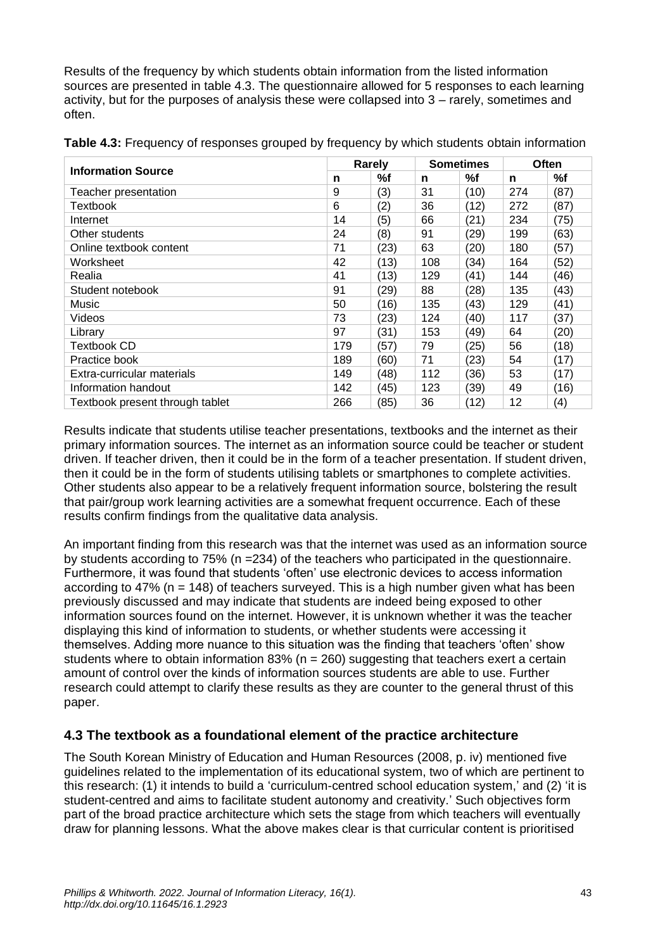Results of the frequency by which students obtain information from the listed information sources are presented in table 4.3. The questionnaire allowed for 5 responses to each learning activity, but for the purposes of analysis these were collapsed into 3 – rarely, sometimes and often.

| <b>Information Source</b>       |     | Rarely |     | <b>Sometimes</b> |     | Often |  |
|---------------------------------|-----|--------|-----|------------------|-----|-------|--|
|                                 |     | %f     | n   | %f               | n   | %f    |  |
| Teacher presentation            | 9   | (3)    | 31  | (10)             | 274 | (87)  |  |
| Textbook                        | 6   | (2)    | 36  | (12)             | 272 | (87)  |  |
| Internet                        | 14  | (5)    | 66  | (21)             | 234 | (75)  |  |
| Other students                  | 24  | (8)    | 91  | (29)             | 199 | (63)  |  |
| Online textbook content         | 71  | (23)   | 63  | (20)             | 180 | (57)  |  |
| Worksheet                       | 42  | (13)   | 108 | (34)             | 164 | (52)  |  |
| Realia                          | 41  | (13)   | 129 | (41)             | 144 | (46)  |  |
| Student notebook                | 91  | (29)   | 88  | (28)             | 135 | (43)  |  |
| Music                           | 50  | (16)   | 135 | (43)             | 129 | (41)  |  |
| Videos                          | 73  | (23)   | 124 | (40)             | 117 | (37)  |  |
| Library                         | 97  | (31)   | 153 | (49)             | 64  | (20)  |  |
| Textbook CD                     | 179 | (57)   | 79  | (25)             | 56  | (18)  |  |
| Practice book                   | 189 | (60)   | 71  | (23)             | 54  | (17)  |  |
| Extra-curricular materials      | 149 | (48)   | 112 | (36)             | 53  | (17)  |  |
| Information handout             | 142 | (45)   | 123 | (39)             | 49  | (16)  |  |
| Textbook present through tablet | 266 | '85)   | 36  | (12)             | 12  | (4)   |  |

|  | Table 4.3: Frequency of responses grouped by frequency by which students obtain information |  |  |
|--|---------------------------------------------------------------------------------------------|--|--|
|  |                                                                                             |  |  |

Results indicate that students utilise teacher presentations, textbooks and the internet as their primary information sources. The internet as an information source could be teacher or student driven. If teacher driven, then it could be in the form of a teacher presentation. If student driven, then it could be in the form of students utilising tablets or smartphones to complete activities. Other students also appear to be a relatively frequent information source, bolstering the result that pair/group work learning activities are a somewhat frequent occurrence. Each of these results confirm findings from the qualitative data analysis.

An important finding from this research was that the internet was used as an information source by students according to 75% (n =234) of the teachers who participated in the questionnaire. Furthermore, it was found that students 'often' use electronic devices to access information according to 47% ( $n = 148$ ) of teachers surveved. This is a high number given what has been previously discussed and may indicate that students are indeed being exposed to other information sources found on the internet. However, it is unknown whether it was the teacher displaying this kind of information to students, or whether students were accessing it themselves. Adding more nuance to this situation was the finding that teachers 'often' show students where to obtain information  $83\%$  (n = 260) suggesting that teachers exert a certain amount of control over the kinds of information sources students are able to use. Further research could attempt to clarify these results as they are counter to the general thrust of this paper.

### **4.3 The textbook as a foundational element of the practice architecture**

The South Korean Ministry of Education and Human Resources (2008, p. iv) mentioned five guidelines related to the implementation of its educational system, two of which are pertinent to this research: (1) it intends to build a 'curriculum-centred school education system,' and (2) 'it is student-centred and aims to facilitate student autonomy and creativity.' Such objectives form part of the broad practice architecture which sets the stage from which teachers will eventually draw for planning lessons. What the above makes clear is that curricular content is prioritised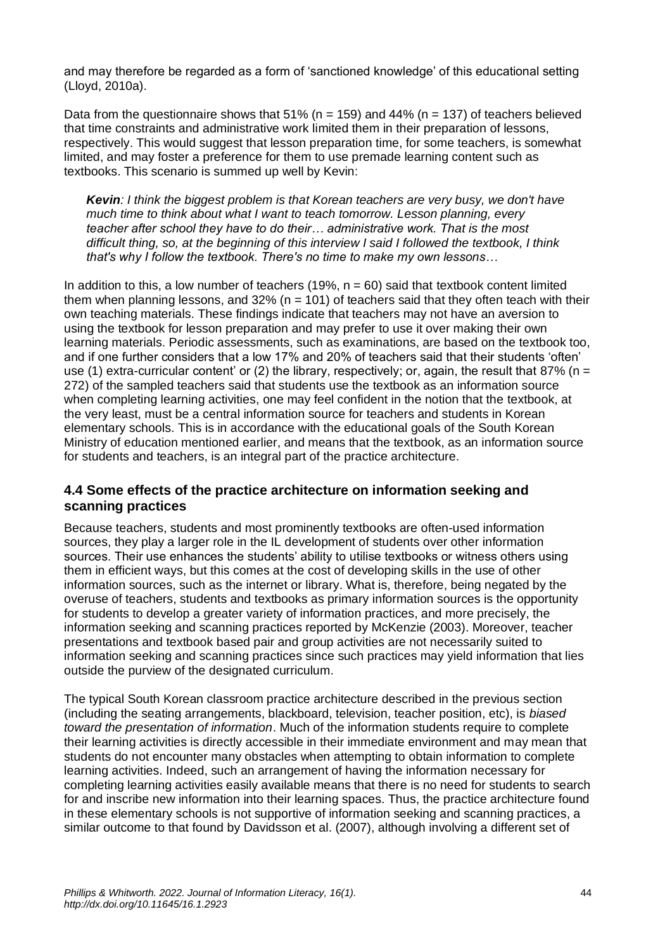and may therefore be regarded as a form of 'sanctioned knowledge' of this educational setting (Lloyd, 2010a).

Data from the questionnaire shows that  $51\%$  (n = 159) and 44% (n = 137) of teachers believed that time constraints and administrative work limited them in their preparation of lessons, respectively. This would suggest that lesson preparation time, for some teachers, is somewhat limited, and may foster a preference for them to use premade learning content such as textbooks. This scenario is summed up well by Kevin:

*Kevin: I think the biggest problem is that Korean teachers are very busy, we don't have much time to think about what I want to teach tomorrow. Lesson planning, every teacher after school they have to do their… administrative work. That is the most difficult thing, so, at the beginning of this interview I said I followed the textbook, I think that's why I follow the textbook. There's no time to make my own lessons…*

In addition to this, a low number of teachers (19%,  $n = 60$ ) said that textbook content limited them when planning lessons, and  $32\%$  (n = 101) of teachers said that they often teach with their own teaching materials. These findings indicate that teachers may not have an aversion to using the textbook for lesson preparation and may prefer to use it over making their own learning materials. Periodic assessments, such as examinations, are based on the textbook too, and if one further considers that a low 17% and 20% of teachers said that their students 'often' use (1) extra-curricular content' or (2) the library, respectively; or, again, the result that 87% ( $n =$ 272) of the sampled teachers said that students use the textbook as an information source when completing learning activities, one may feel confident in the notion that the textbook, at the very least, must be a central information source for teachers and students in Korean elementary schools. This is in accordance with the educational goals of the South Korean Ministry of education mentioned earlier, and means that the textbook, as an information source for students and teachers, is an integral part of the practice architecture.

### **4.4 Some effects of the practice architecture on information seeking and scanning practices**

Because teachers, students and most prominently textbooks are often-used information sources, they play a larger role in the IL development of students over other information sources. Their use enhances the students' ability to utilise textbooks or witness others using them in efficient ways, but this comes at the cost of developing skills in the use of other information sources, such as the internet or library. What is, therefore, being negated by the overuse of teachers, students and textbooks as primary information sources is the opportunity for students to develop a greater variety of information practices, and more precisely, the information seeking and scanning practices reported by McKenzie (2003). Moreover, teacher presentations and textbook based pair and group activities are not necessarily suited to information seeking and scanning practices since such practices may yield information that lies outside the purview of the designated curriculum.

The typical South Korean classroom practice architecture described in the previous section (including the seating arrangements, blackboard, television, teacher position, etc), is *biased toward the presentation of information*. Much of the information students require to complete their learning activities is directly accessible in their immediate environment and may mean that students do not encounter many obstacles when attempting to obtain information to complete learning activities. Indeed, such an arrangement of having the information necessary for completing learning activities easily available means that there is no need for students to search for and inscribe new information into their learning spaces. Thus, the practice architecture found in these elementary schools is not supportive of information seeking and scanning practices, a similar outcome to that found by Davidsson et al. (2007), although involving a different set of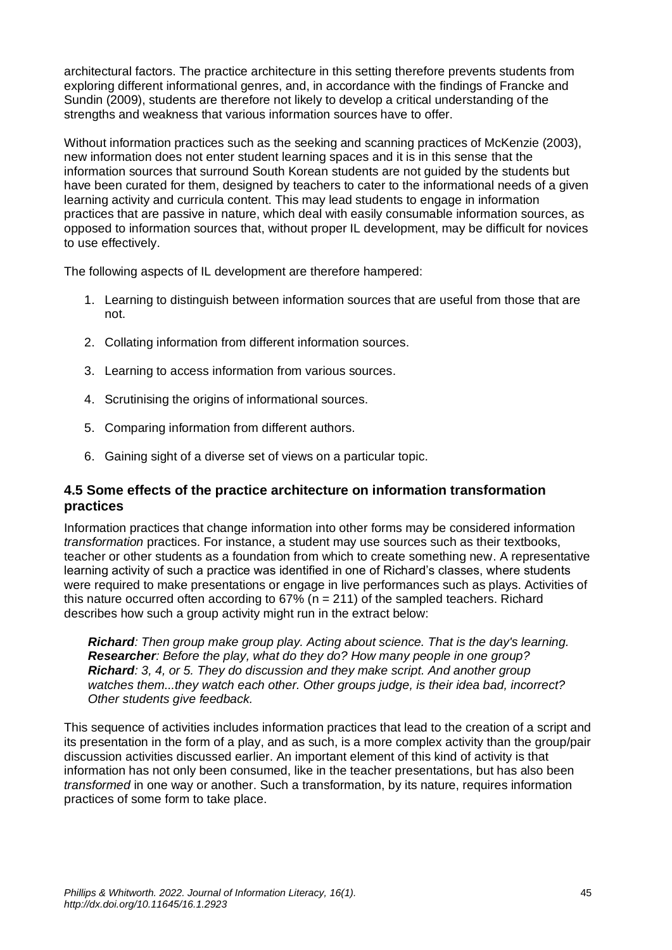architectural factors. The practice architecture in this setting therefore prevents students from exploring different informational genres, and, in accordance with the findings of Francke and Sundin (2009), students are therefore not likely to develop a critical understanding of the strengths and weakness that various information sources have to offer.

Without information practices such as the seeking and scanning practices of McKenzie (2003), new information does not enter student learning spaces and it is in this sense that the information sources that surround South Korean students are not guided by the students but have been curated for them, designed by teachers to cater to the informational needs of a given learning activity and curricula content. This may lead students to engage in information practices that are passive in nature, which deal with easily consumable information sources, as opposed to information sources that, without proper IL development, may be difficult for novices to use effectively.

The following aspects of IL development are therefore hampered:

- 1. Learning to distinguish between information sources that are useful from those that are not.
- 2. Collating information from different information sources.
- 3. Learning to access information from various sources.
- 4. Scrutinising the origins of informational sources.
- 5. Comparing information from different authors.
- 6. Gaining sight of a diverse set of views on a particular topic.

### **4.5 Some effects of the practice architecture on information transformation practices**

Information practices that change information into other forms may be considered information *transformation* practices. For instance, a student may use sources such as their textbooks, teacher or other students as a foundation from which to create something new. A representative learning activity of such a practice was identified in one of Richard's classes, where students were required to make presentations or engage in live performances such as plays. Activities of this nature occurred often according to  $67\%$  (n = 211) of the sampled teachers. Richard describes how such a group activity might run in the extract below:

*Richard: Then group make group play. Acting about science. That is the day's learning. Researcher: Before the play, what do they do? How many people in one group? Richard: 3, 4, or 5. They do discussion and they make script. And another group watches them...they watch each other. Other groups judge, is their idea bad, incorrect? Other students give feedback.*

This sequence of activities includes information practices that lead to the creation of a script and its presentation in the form of a play, and as such, is a more complex activity than the group/pair discussion activities discussed earlier. An important element of this kind of activity is that information has not only been consumed, like in the teacher presentations, but has also been *transformed* in one way or another. Such a transformation, by its nature, requires information practices of some form to take place.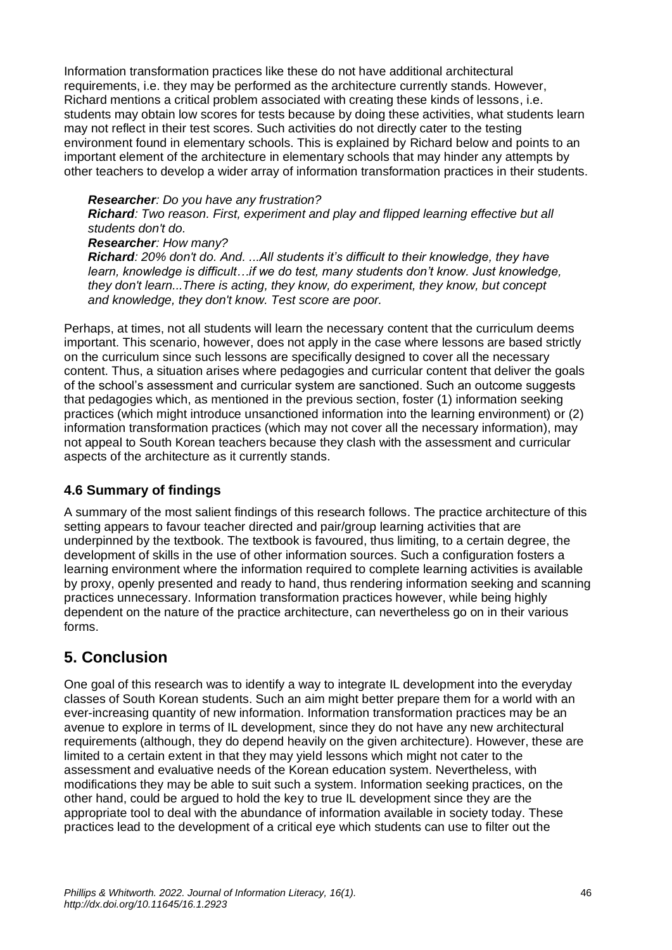Information transformation practices like these do not have additional architectural requirements, i.e. they may be performed as the architecture currently stands. However, Richard mentions a critical problem associated with creating these kinds of lessons, i.e. students may obtain low scores for tests because by doing these activities, what students learn may not reflect in their test scores. Such activities do not directly cater to the testing environment found in elementary schools. This is explained by Richard below and points to an important element of the architecture in elementary schools that may hinder any attempts by other teachers to develop a wider array of information transformation practices in their students.

#### *Researcher: Do you have any frustration?*

*Richard: Two reason. First, experiment and play and flipped learning effective but all students don't do.*

#### *Researcher: How many?*

*Richard: 20% don't do. And. ...All students it's difficult to their knowledge, they have learn, knowledge is difficult…if we do test, many students don't know. Just knowledge, they don't learn...There is acting, they know, do experiment, they know, but concept and knowledge, they don't know. Test score are poor.*

Perhaps, at times, not all students will learn the necessary content that the curriculum deems important. This scenario, however, does not apply in the case where lessons are based strictly on the curriculum since such lessons are specifically designed to cover all the necessary content. Thus, a situation arises where pedagogies and curricular content that deliver the goals of the school's assessment and curricular system are sanctioned. Such an outcome suggests that pedagogies which, as mentioned in the previous section, foster (1) information seeking practices (which might introduce unsanctioned information into the learning environment) or (2) information transformation practices (which may not cover all the necessary information), may not appeal to South Korean teachers because they clash with the assessment and curricular aspects of the architecture as it currently stands.

### **4.6 Summary of findings**

A summary of the most salient findings of this research follows. The practice architecture of this setting appears to favour teacher directed and pair/group learning activities that are underpinned by the textbook. The textbook is favoured, thus limiting, to a certain degree, the development of skills in the use of other information sources. Such a configuration fosters a learning environment where the information required to complete learning activities is available by proxy, openly presented and ready to hand, thus rendering information seeking and scanning practices unnecessary. Information transformation practices however, while being highly dependent on the nature of the practice architecture, can nevertheless go on in their various forms.

### **5. Conclusion**

One goal of this research was to identify a way to integrate IL development into the everyday classes of South Korean students. Such an aim might better prepare them for a world with an ever-increasing quantity of new information. Information transformation practices may be an avenue to explore in terms of IL development, since they do not have any new architectural requirements (although, they do depend heavily on the given architecture). However, these are limited to a certain extent in that they may yield lessons which might not cater to the assessment and evaluative needs of the Korean education system. Nevertheless, with modifications they may be able to suit such a system. Information seeking practices, on the other hand, could be argued to hold the key to true IL development since they are the appropriate tool to deal with the abundance of information available in society today. These practices lead to the development of a critical eye which students can use to filter out the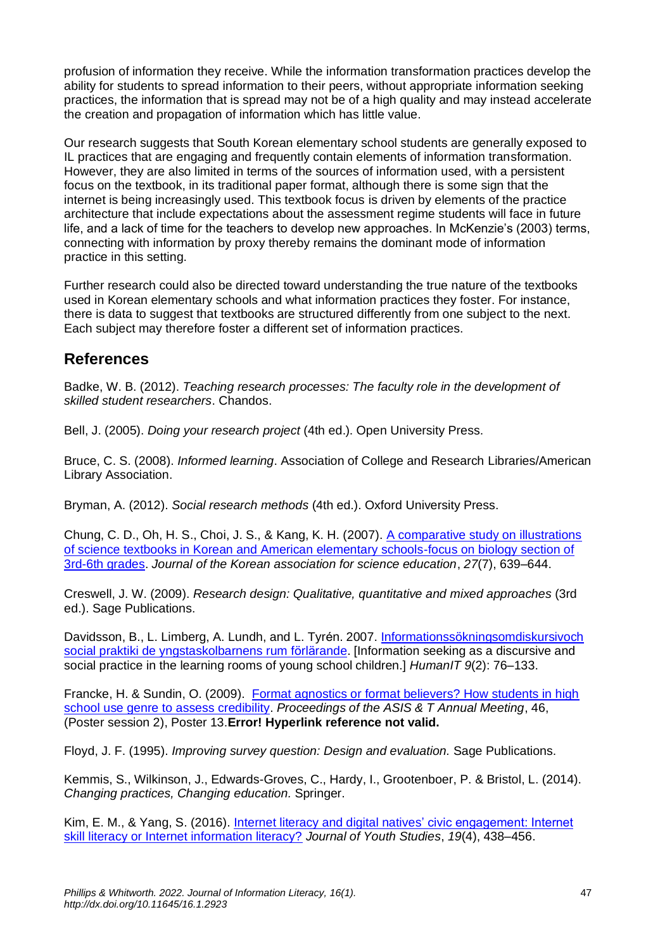profusion of information they receive. While the information transformation practices develop the ability for students to spread information to their peers, without appropriate information seeking practices, the information that is spread may not be of a high quality and may instead accelerate the creation and propagation of information which has little value.

Our research suggests that South Korean elementary school students are generally exposed to IL practices that are engaging and frequently contain elements of information transformation. However, they are also limited in terms of the sources of information used, with a persistent focus on the textbook, in its traditional paper format, although there is some sign that the internet is being increasingly used. This textbook focus is driven by elements of the practice architecture that include expectations about the assessment regime students will face in future life, and a lack of time for the teachers to develop new approaches. In McKenzie's (2003) terms, connecting with information by proxy thereby remains the dominant mode of information practice in this setting.

Further research could also be directed toward understanding the true nature of the textbooks used in Korean elementary schools and what information practices they foster. For instance, there is data to suggest that textbooks are structured differently from one subject to the next. Each subject may therefore foster a different set of information practices.

### **References**

Badke, W. B. (2012). *Teaching research processes: The faculty role in the development of skilled student researchers*. Chandos.

Bell, J. (2005). *Doing your research project* (4th ed.). Open University Press.

Bruce, C. S. (2008). *Informed learning*. Association of College and Research Libraries/American Library Association.

Bryman, A. (2012). *Social research methods* (4th ed.). Oxford University Press.

Chung, C. D., Oh, H. S., Choi, J. S., & Kang, K. H. (2007). [A comparative study on illustrations](https://www.koreascience.or.kr/article/JAKO200717347316236.page)  [of science textbooks in Korean and American elementary schools-focus on biology section of](https://www.koreascience.or.kr/article/JAKO200717347316236.page)  [3rd-6th grades.](https://www.koreascience.or.kr/article/JAKO200717347316236.page) *Journal of the Korean association for science education*, *27*(7), 639–644.

Creswell, J. W. (2009). *Research design: Qualitative, quantitative and mixed approaches* (3rd ed.). Sage Publications.

Davidsson, B., L. Limberg, A. Lundh, and L. Tyrén. 2007. [Informationssökningsomdiskursivoch](https://www.diva-portal.org/smash/get/diva2:870449/FULLTEXT01.pdf)  [social praktiki de yngstaskolbarnens rum förlärande.](https://www.diva-portal.org/smash/get/diva2:870449/FULLTEXT01.pdf) [Information seeking as a discursive and social practice in the learning rooms of young school children.] *HumanIT 9*(2): 76–133.

Francke, H. & Sundin, O. (2009). [Format agnostics or format believers? How students in high](https://doi.org/10.1002/meet.2009.1450460358)  [school use genre to assess credibility.](https://doi.org/10.1002/meet.2009.1450460358) *Proceedings of the ASIS & T Annual Meeting*, 46, (Poster session 2), Poster 13.**Error! Hyperlink reference not valid.**

Floyd, J. F. (1995). *Improving survey question: Design and evaluation.* Sage Publications.

Kemmis, S., Wilkinson, J., Edwards-Groves, C., Hardy, I., Grootenboer, P. & Bristol, L. (2014). *Changing practices, Changing education.* Springer.

Kim, E. M., & Yang, S. (2016). [Internet literacy and digital natives' civic engagement: Internet](https://doi.org/10.1080/13676261.2015.1083961)  [skill literacy or Internet information literacy?](https://doi.org/10.1080/13676261.2015.1083961) *Journal of Youth Studies*, *19*(4), 438–456.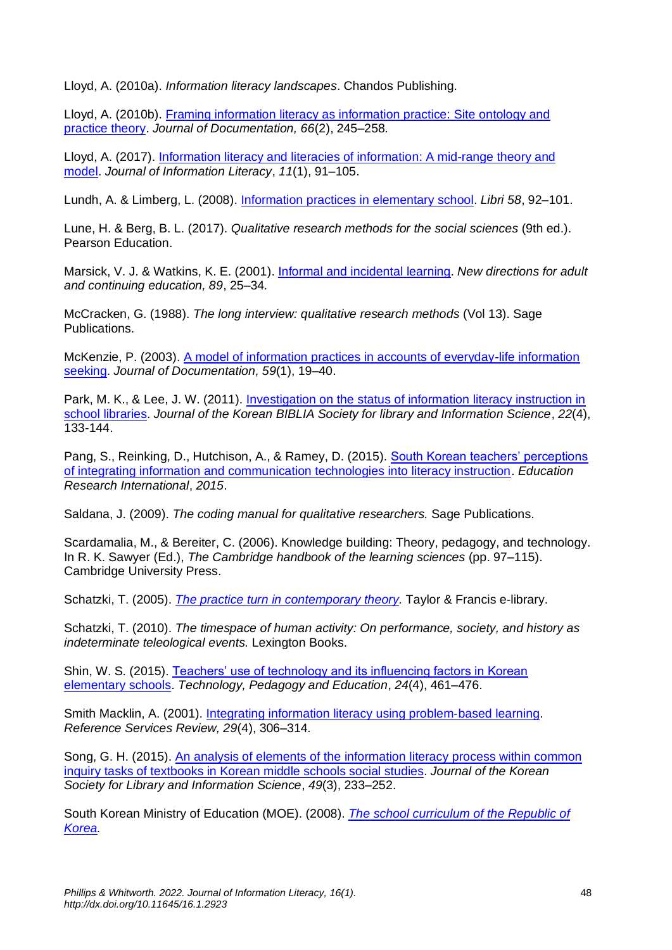Lloyd, A. (2010a). *Information literacy landscapes*. Chandos Publishing.

Lloyd, A. (2010b). [Framing information literacy as information practice: Site ontology and](https://doi.org/10.1108/00220411011023643)  [practice theory.](https://doi.org/10.1108/00220411011023643) *Journal of Documentation, 66*(2), 245–258*.*

Lloyd, A. (2017). [Information literacy and literacies of information: A mid-range theory and](https://doi.org/10.11645/11.1.2185)  [model.](https://doi.org/10.11645/11.1.2185) *Journal of Information Literacy*, *11*(1), 91–105.

Lundh, A. & Limberg, L. (2008). [Information practices in elementary school.](https://doi.org/10.1515/libr.2008.011) *Libri 58*, 92–101.

Lune, H. & Berg, B. L. (2017). *Qualitative research methods for the social sciences* (9th ed.). Pearson Education.

Marsick, V. J. & Watkins, K. E. (2001). [Informal and incidental learning.](https://doi.org/10.1002/ace.5) *New directions for adult and continuing education, 89*, 25–34*.*

McCracken, G. (1988). *The long interview: qualitative research methods* (Vol 13). Sage Publications.

McKenzie, P. (2003). [A model of information practices in accounts of everyday-life information](https://doi.org/10.1108/00220410310457993)  [seeking.](https://doi.org/10.1108/00220410310457993) *Journal of Documentation, 59*(1), 19–40.

Park, M. K., & Lee, J. W. (2011). Investigation on the status of information literacy instruction in [school libraries.](https://www.koreascience.or.kr/article/JAKO201111436234654.pdf) *Journal of the Korean BIBLIA Society for library and Information Science*, *22*(4), 133-144.

Pang, S., Reinking, D., Hutchison, A., & Ramey, D. (2015). South Korean teachers' perceptions [of integrating information and communication technologies into literacy instruction.](https://doi.org/10.1155/2015/783593) *Education Research International*, *2015*.

Saldana, J. (2009). *The coding manual for qualitative researchers.* Sage Publications.

Scardamalia, M., & Bereiter, C. (2006). Knowledge building: Theory, pedagogy, and technology. In R. K. Sawyer (Ed.), *The Cambridge handbook of the learning sciences* (pp. 97–115). Cambridge University Press.

Schatzki, T. (2005). *[The practice turn in contemporary theory.](https://doi.org/10.4324/9780203977453)* Taylor & Francis e-library.

Schatzki, T. (2010). *The timespace of human activity: On performance, society, and history as indeterminate teleological events.* Lexington Books.

Shin, W. S. (2015). [Teachers' use of technology and its influencing factors in Korean](https://doi.org/10.1080/1475939X.2014.915229)  [elementary schools.](https://doi.org/10.1080/1475939X.2014.915229) *Technology, Pedagogy and Education*, *24*(4), 461–476.

Smith Macklin, A. (2001). [Integrating information literacy using problem](https://doi.org/10.1108/EUM0000000006493)‐based learning. *Reference Services Review, 29*(4), 306–314*.*

Song, G. H. (2015). [An analysis of elements of the information literacy process within common](http://www.koreascience.or.kr/article/JAKO201526650061864.page)  [inquiry tasks of textbooks in Korean middle schools social studies.](http://www.koreascience.or.kr/article/JAKO201526650061864.page) *Journal of the Korean Society for Library and Information Science*, *49*(3), 233–252.

South Korean Ministry of Education (MOE). (2008). *[The school curriculum of the Republic of](http://www.gangwonepik.weebly.com/uploads/1/3/8/5/13851570/national_school_curriculum-english2008.pdf)  [Korea.](http://www.gangwonepik.weebly.com/uploads/1/3/8/5/13851570/national_school_curriculum-english2008.pdf)*